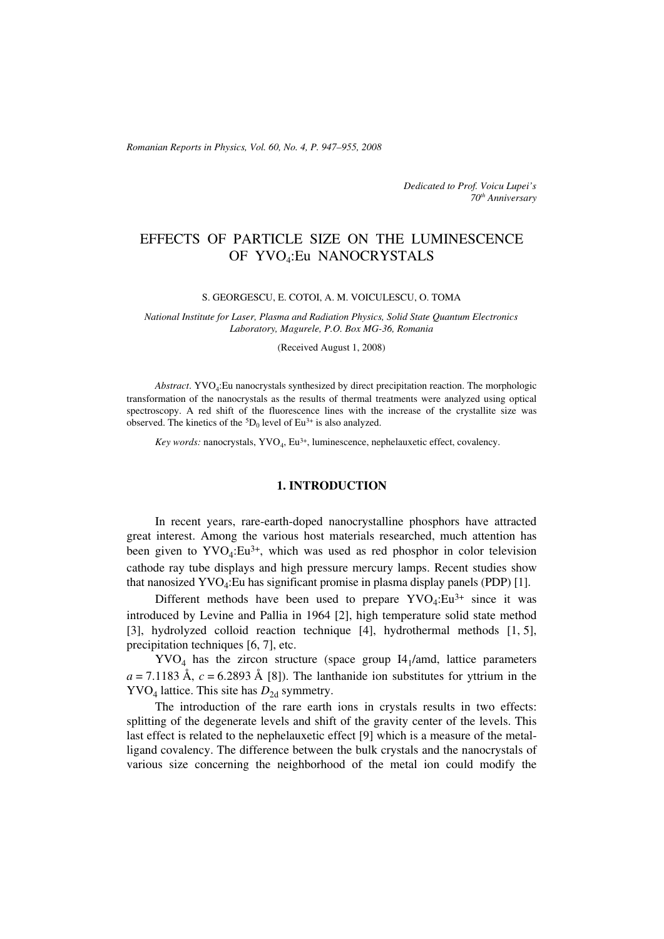*Romanian Reports in Physics, Vol. 60, No. 4, P. 947–955, 2008*

*Dedicated to Prof. Voicu Lupei's 70th Anniversary*

# EFFECTS OF PARTICLE SIZE ON THE LUMINESCENCE OF YVO4:Eu NANOCRYSTALS

#### S. GEORGESCU, E. COTOI, A. M. VOICULESCU, O. TOMA

*National Institute for Laser, Plasma and Radiation Physics, Solid State Quantum Electronics Laboratory, Magurele, P.O. Box MG-36, Romania*

#### (Received August 1, 2008)

*Abstract*. YVO4:Eu nanocrystals synthesized by direct precipitation reaction. The morphologic transformation of the nanocrystals as the results of thermal treatments were analyzed using optical spectroscopy. A red shift of the fluorescence lines with the increase of the crystallite size was observed. The kinetics of the  ${}^{5}D_{0}$  level of Eu<sup>3+</sup> is also analyzed.

*Key words:* nanocrystals, YVO<sub>4</sub>, Eu<sup>3+</sup>, luminescence, nephelauxetic effect, covalency.

# **1. INTRODUCTION**

In recent years, rare-earth-doped nanocrystalline phosphors have attracted great interest. Among the various host materials researched, much attention has been given to  $\text{YVO}_4:\text{Eu}^{3+}$ , which was used as red phosphor in color television cathode ray tube displays and high pressure mercury lamps. Recent studies show that nanosized  $\text{YVO}_4$ :Eu has significant promise in plasma display panels (PDP) [1].

Different methods have been used to prepare  $\text{YVO}_4$ :Eu<sup>3+</sup> since it was introduced by Levine and Pallia in 1964 [2], high temperature solid state method [3], hydrolyzed colloid reaction technique [4], hydrothermal methods [1, 5], precipitation techniques [6, 7], etc.

 $\text{YVO}_4$  has the zircon structure (space group I4<sub>1</sub>/amd, lattice parameters  $a = 7.1183$  Å,  $c = 6.2893$  Å [8]). The lanthanide ion substitutes for yttrium in the  $\text{YVO}_4$  lattice. This site has  $D_{2d}$  symmetry.

The introduction of the rare earth ions in crystals results in two effects: splitting of the degenerate levels and shift of the gravity center of the levels. This last effect is related to the nephelauxetic effect [9] which is a measure of the metalligand covalency. The difference between the bulk crystals and the nanocrystals of various size concerning the neighborhood of the metal ion could modify the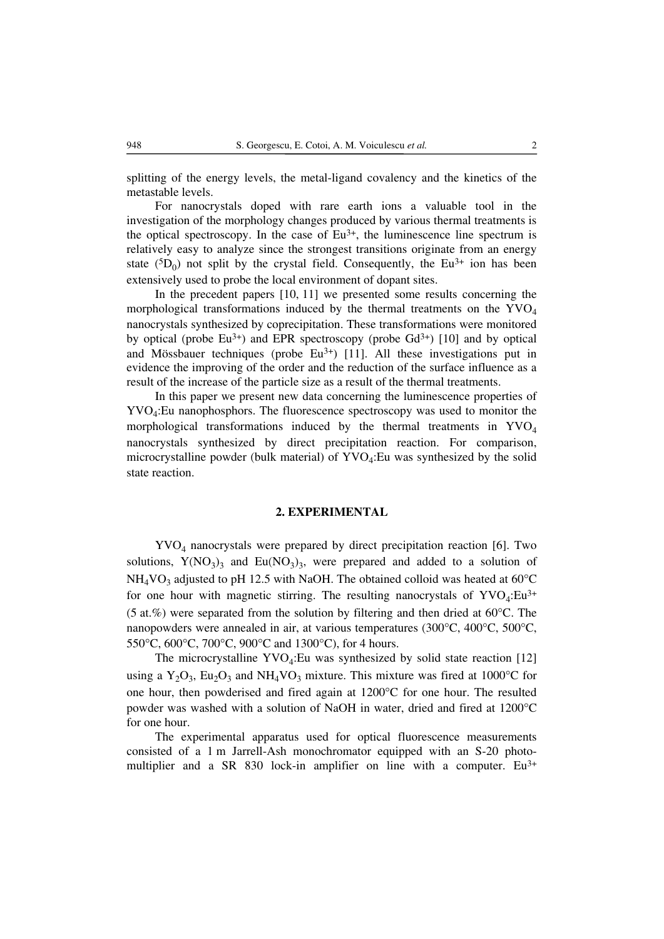splitting of the energy levels, the metal-ligand covalency and the kinetics of the metastable levels.

For nanocrystals doped with rare earth ions a valuable tool in the investigation of the morphology changes produced by various thermal treatments is the optical spectroscopy. In the case of  $Eu^{3+}$ , the luminescence line spectrum is relatively easy to analyze since the strongest transitions originate from an energy state  $({}^5D_0)$  not split by the crystal field. Consequently, the Eu<sup>3+</sup> ion has been extensively used to probe the local environment of dopant sites.

In the precedent papers [10, 11] we presented some results concerning the morphological transformations induced by the thermal treatments on the  $\text{YVO}_4$ nanocrystals synthesized by coprecipitation. These transformations were monitored by optical (probe  $Eu^{3+}$ ) and EPR spectroscopy (probe  $Gd^{3+}$ ) [10] and by optical and Mössbauer techniques (probe  $Eu^{3+}$ ) [11]. All these investigations put in evidence the improving of the order and the reduction of the surface influence as a result of the increase of the particle size as a result of the thermal treatments.

In this paper we present new data concerning the luminescence properties of YVO4:Eu nanophosphors. The fluorescence spectroscopy was used to monitor the morphological transformations induced by the thermal treatments in  $\text{YVO}_4$ nanocrystals synthesized by direct precipitation reaction. For comparison, microcrystalline powder (bulk material) of  $\text{YVO}_4$ :Eu was synthesized by the solid state reaction.

#### **2. EXPERIMENTAL**

YVO4 nanocrystals were prepared by direct precipitation reaction [6]. Two solutions,  $Y(NO<sub>3</sub>)<sub>3</sub>$  and Eu(NO<sub>3</sub>)<sub>3</sub>, were prepared and added to a solution of  $NH<sub>4</sub>VO<sub>3</sub>$  adjusted to pH 12.5 with NaOH. The obtained colloid was heated at 60 $^{\circ}$ C for one hour with magnetic stirring. The resulting nanocrystals of  $\text{YVO}_4$ :Eu<sup>3+</sup> (5 at.%) were separated from the solution by filtering and then dried at 60°C. The nanopowders were annealed in air, at various temperatures (300°C, 400°C, 500°C, 550°C, 600°C, 700°C, 900°C and 1300°C), for 4 hours.

The microcrystalline  $\text{YVO}_4$ :Eu was synthesized by solid state reaction [12] using a  $Y_2O_3$ , Eu<sub>2</sub>O<sub>3</sub> and NH<sub>4</sub>VO<sub>3</sub> mixture. This mixture was fired at 1000<sup>o</sup>C for one hour, then powderised and fired again at 1200°C for one hour. The resulted powder was washed with a solution of NaOH in water, dried and fired at 1200°C for one hour.

The experimental apparatus used for optical fluorescence measurements consisted of a 1 m Jarrell-Ash monochromator equipped with an S-20 photomultiplier and a SR 830 lock-in amplifier on line with a computer. Eu<sup>3+</sup>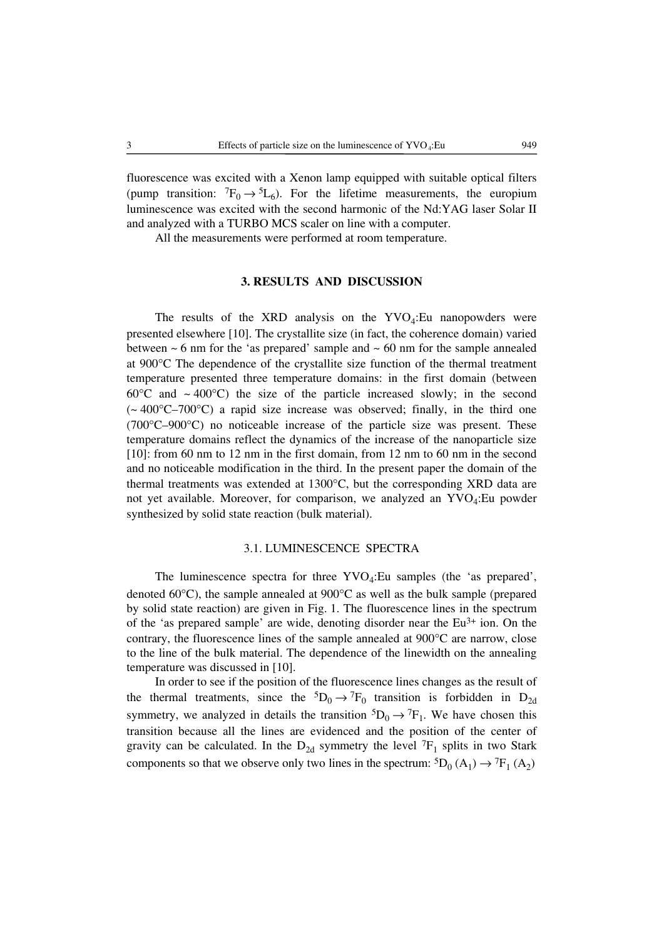fluorescence was excited with a Xenon lamp equipped with suitable optical filters (pump transition:  ${}^{7}F_0 \rightarrow {}^{5}L_6$ ). For the lifetime measurements, the europium luminescence was excited with the second harmonic of the Nd:YAG laser Solar II and analyzed with a TURBO MCS scaler on line with a computer.

All the measurements were performed at room temperature.

## **3. RESULTS AND DISCUSSION**

The results of the XRD analysis on the  $\text{YVO}_4$ :Eu nanopowders were presented elsewhere [10]. The crystallite size (in fact, the coherence domain) varied between  $\sim$  6 nm for the 'as prepared' sample and  $\sim$  60 nm for the sample annealed at 900°C The dependence of the crystallite size function of the thermal treatment temperature presented three temperature domains: in the first domain (between 60 $\degree$ C and  $\sim$  400 $\degree$ C) the size of the particle increased slowly; in the second  $\sim 400^{\circ}$ C–700°C) a rapid size increase was observed; finally, in the third one (700°C–900°C) no noticeable increase of the particle size was present. These temperature domains reflect the dynamics of the increase of the nanoparticle size [10]: from 60 nm to 12 nm in the first domain, from 12 nm to 60 nm in the second and no noticeable modification in the third. In the present paper the domain of the thermal treatments was extended at 1300°C, but the corresponding XRD data are not yet available. Moreover, for comparison, we analyzed an YVO<sub>4</sub>:Eu powder synthesized by solid state reaction (bulk material).

## 3.1. LUMINESCENCE SPECTRA

The luminescence spectra for three  $\text{YVO}_4$ :Eu samples (the 'as prepared', denoted 60°C), the sample annealed at 900°C as well as the bulk sample (prepared by solid state reaction) are given in Fig. 1. The fluorescence lines in the spectrum of the 'as prepared sample' are wide, denoting disorder near the  $Eu^{3+}$  ion. On the contrary, the fluorescence lines of the sample annealed at  $900^{\circ}$ C are narrow, close to the line of the bulk material. The dependence of the linewidth on the annealing temperature was discussed in [10].

In order to see if the position of the fluorescence lines changes as the result of the thermal treatments, since the  ${}^5D_0 \rightarrow {}^7F_0$  transition is forbidden in  $D_{2d}$ symmetry, we analyzed in details the transition  ${}^5D_0 \rightarrow {}^7F_1$ . We have chosen this transition because all the lines are evidenced and the position of the center of gravity can be calculated. In the  $D_{2d}$  symmetry the level  ${}^{7}F_1$  splits in two Stark components so that we observe only two lines in the spectrum:  ${}^5D_0 (A_1) \rightarrow {}^7F_1 (A_2)$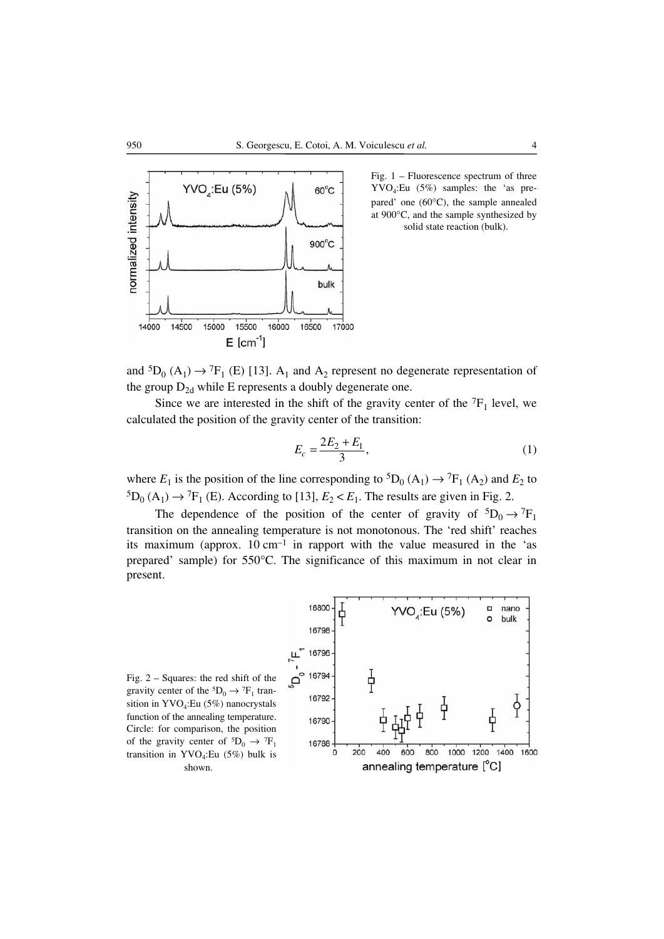

Fig. 1 – Fluorescence spectrum of three YVO4:Eu (5%) samples: the 'as prepared' one (60°C), the sample annealed at 900°C, and the sample synthesized by solid state reaction (bulk).

and  ${}^5D_0$  (A<sub>1</sub>)  $\rightarrow {}^7F_1$  (E) [13]. A<sub>1</sub> and A<sub>2</sub> represent no degenerate representation of the group  $D_{2d}$  while E represents a doubly degenerate one.

Since we are interested in the shift of the gravity center of the  ${}^{7}F_1$  level, we calculated the position of the gravity center of the transition:

$$
E_c = \frac{2E_2 + E_1}{3},\tag{1}
$$

where  $E_1$  is the position of the line corresponding to  ${}^5D_0 (A_1) \rightarrow {}^7F_1 (A_2)$  and  $E_2$  to  ${}^5D_0$  (A<sub>1</sub>)  $\rightarrow {}^7F_1$  (E). According to [13],  $E_2 < E_1$ . The results are given in Fig. 2.

The dependence of the position of the center of gravity of  ${}^{5}D_0 \rightarrow {}^{7}F_1$ transition on the annealing temperature is not monotonous. The 'red shift' reaches its maximum (approx.  $10 \text{ cm}^{-1}$  in rapport with the value measured in the 'as prepared' sample) for 550°C. The significance of this maximum in not clear in present.



Fig. 2 – Squares: the red shift of the gravity center of the  ${}^5D_0 \rightarrow {}^7F_1$  transition in YVO<sub>4</sub>:Eu (5%) nanocrystals function of the annealing temperature. Circle: for comparison, the position of the gravity center of  ${}^5D_0 \rightarrow {}^7F_1$ transition in YVO<sub>4</sub>:Eu (5%) bulk is shown.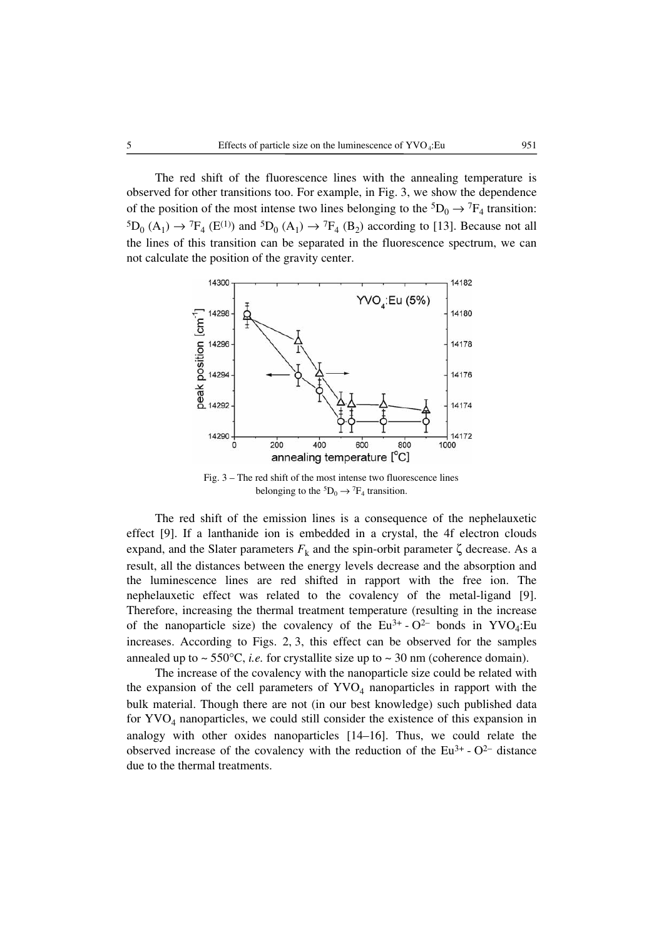The red shift of the fluorescence lines with the annealing temperature is observed for other transitions too. For example, in Fig. 3, we show the dependence of the position of the most intense two lines belonging to the  ${}^5D_0 \rightarrow {}^7F_4$  transition:  ${}^5D_0$  (A<sub>1</sub>)  $\rightarrow {}^7F_4$  (E<sup>(1)</sup>) and  ${}^5D_0$  (A<sub>1</sub>)  $\rightarrow {}^7F_4$  (B<sub>2</sub>) according to [13]. Because not all the lines of this transition can be separated in the fluorescence spectrum, we can not calculate the position of the gravity center.



Fig. 3 – The red shift of the most intense two fluorescence lines belonging to the  ${}^5D_0 \rightarrow {}^7F_4$  transition.

The red shift of the emission lines is a consequence of the nephelauxetic effect [9]. If a lanthanide ion is embedded in a crystal, the 4f electron clouds expand, and the Slater parameters  $F_k$  and the spin-orbit parameter  $\zeta$  decrease. As a result, all the distances between the energy levels decrease and the absorption and the luminescence lines are red shifted in rapport with the free ion. The nephelauxetic effect was related to the covalency of the metal-ligand [9]. Therefore, increasing the thermal treatment temperature (resulting in the increase of the nanoparticle size) the covalency of the  $Eu^{3+}$  - O<sup>2–</sup> bonds in YVO<sub>4</sub>:Eu increases. According to Figs. 2, 3, this effect can be observed for the samples annealed up to  $\sim$  550 $^{\circ}$ C, *i.e.* for crystallite size up to  $\sim$  30 nm (coherence domain).

The increase of the covalency with the nanoparticle size could be related with the expansion of the cell parameters of  $\text{YVO}_4$  nanoparticles in rapport with the bulk material. Though there are not (in our best knowledge) such published data for  $\text{YVO}_4$  nanoparticles, we could still consider the existence of this expansion in analogy with other oxides nanoparticles [14–16]. Thus, we could relate the observed increase of the covalency with the reduction of the  $Eu^{3+}$  - O<sup>2–</sup> distance due to the thermal treatments.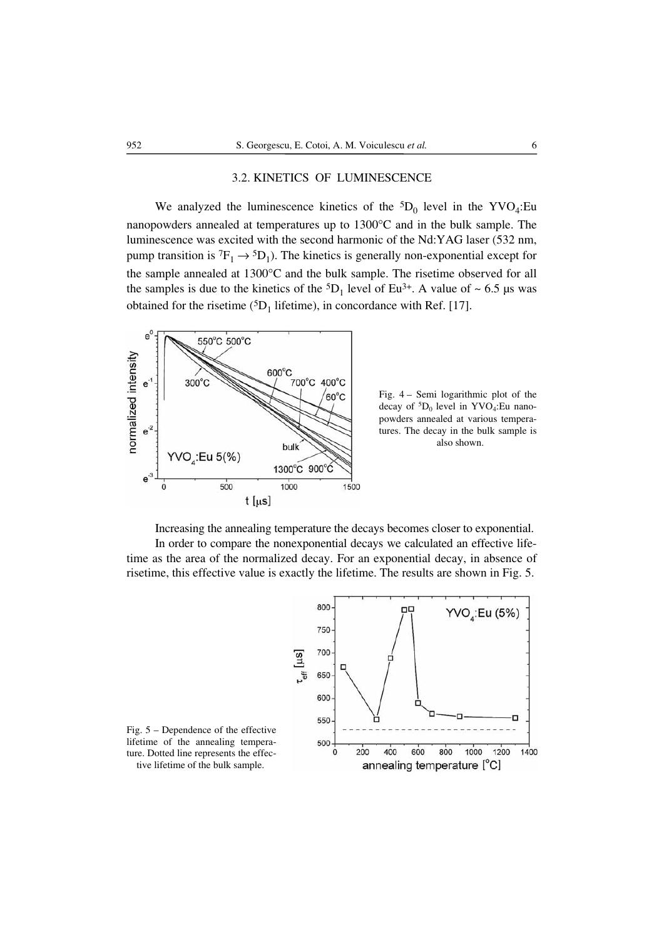## 3.2. KINETICS OF LUMINESCENCE

We analyzed the luminescence kinetics of the  ${}^5D_0$  level in the YVO<sub>4</sub>:Eu nanopowders annealed at temperatures up to 1300°C and in the bulk sample. The luminescence was excited with the second harmonic of the Nd:YAG laser (532 nm, pump transition is  ${}^{7}F_1 \rightarrow {}^{5}D_1$ ). The kinetics is generally non-exponential except for the sample annealed at 1300°C and the bulk sample. The risetime observed for all the samples is due to the kinetics of the  ${}^{5}D_1$  level of Eu<sup>3+</sup>. A value of ~ 6.5 µs was obtained for the risetime ( ${}^{5}D_1$  lifetime), in concordance with Ref. [17].



Fig. 4 – Semi logarithmic plot of the decay of  ${}^5D_0$  level in YVO<sub>4</sub>:Eu nanopowders annealed at various temperatures. The decay in the bulk sample is also shown.

Increasing the annealing temperature the decays becomes closer to exponential. In order to compare the nonexponential decays we calculated an effective lifetime as the area of the normalized decay. For an exponential decay, in absence of risetime, this effective value is exactly the lifetime. The results are shown in Fig. 5.



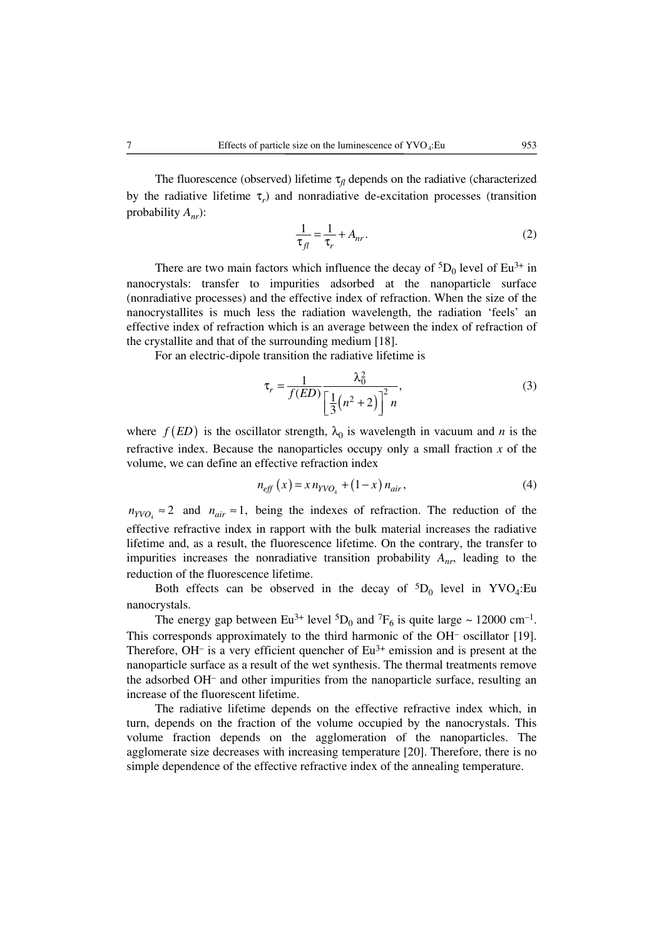The fluorescence (observed) lifetime  $\tau_{fl}$  depends on the radiative (characterized by the radiative lifetime τ*r*) and nonradiative de-excitation processes (transition probability *Anr*):

$$
\frac{1}{\tau_{fl}} = \frac{1}{\tau_r} + A_{nr} \,. \tag{2}
$$

There are two main factors which influence the decay of  ${}^{5}D_0$  level of Eu<sup>3+</sup> in nanocrystals: transfer to impurities adsorbed at the nanoparticle surface (nonradiative processes) and the effective index of refraction. When the size of the nanocrystallites is much less the radiation wavelength, the radiation 'feels' an effective index of refraction which is an average between the index of refraction of the crystallite and that of the surrounding medium [18].

For an electric-dipole transition the radiative lifetime is

$$
\tau_r = \frac{1}{f(ED)} \frac{\lambda_0^2}{\left[\frac{1}{3}(n^2 + 2)\right]^2 n},\tag{3}
$$

where  $f(ED)$  is the oscillator strength,  $\lambda_0$  is wavelength in vacuum and *n* is the refractive index. Because the nanoparticles occupy only a small fraction *x* of the volume, we can define an effective refraction index

$$
n_{eff}(x) = x n_{YVO_4} + (1 - x) n_{air}, \tag{4}
$$

 $n_{YVO.} \approx 2$  and  $n_{air} \approx 1$ , being the indexes of refraction. The reduction of the effective refractive index in rapport with the bulk material increases the radiative lifetime and, as a result, the fluorescence lifetime. On the contrary, the transfer to impurities increases the nonradiative transition probability *Anr*, leading to the reduction of the fluorescence lifetime.

Both effects can be observed in the decay of  ${}^5D_0$  level in YVO<sub>4</sub>:Eu nanocrystals.

The energy gap between Eu<sup>3+</sup> level <sup>5</sup>D<sub>0</sub> and <sup>7</sup>F<sub>6</sub> is quite large ~ 12000 cm<sup>-1</sup>. This corresponds approximately to the third harmonic of the OH– oscillator [19]. Therefore,  $OH^-$  is a very efficient quencher of  $Eu^{3+}$  emission and is present at the nanoparticle surface as a result of the wet synthesis. The thermal treatments remove the adsorbed OH– and other impurities from the nanoparticle surface, resulting an increase of the fluorescent lifetime.

The radiative lifetime depends on the effective refractive index which, in turn, depends on the fraction of the volume occupied by the nanocrystals. This volume fraction depends on the agglomeration of the nanoparticles. The agglomerate size decreases with increasing temperature [20]. Therefore, there is no simple dependence of the effective refractive index of the annealing temperature.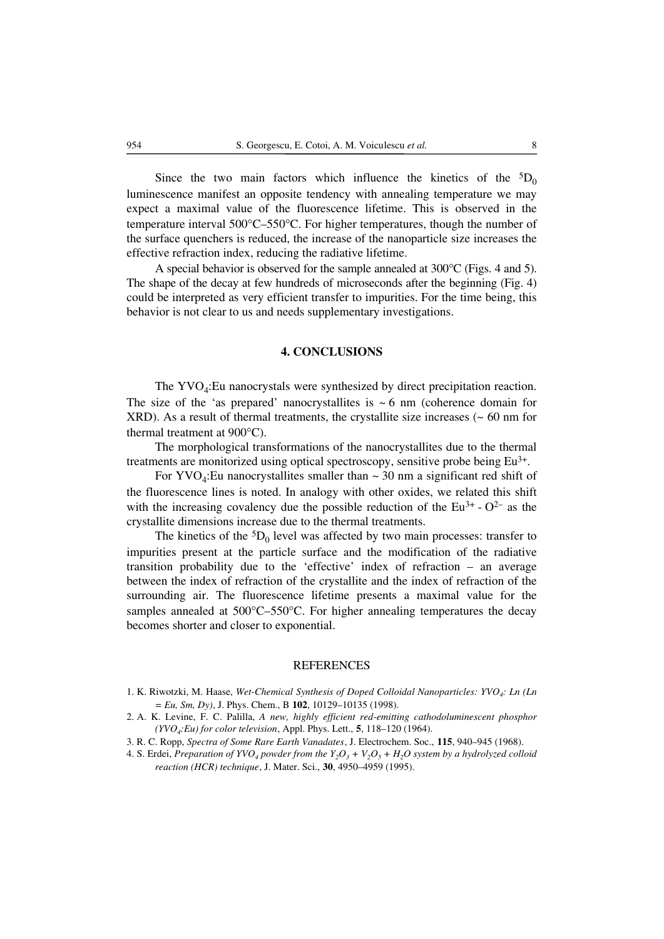Since the two main factors which influence the kinetics of the  ${}^{5}D_0$ luminescence manifest an opposite tendency with annealing temperature we may expect a maximal value of the fluorescence lifetime. This is observed in the temperature interval 500°C–550°C. For higher temperatures, though the number of the surface quenchers is reduced, the increase of the nanoparticle size increases the effective refraction index, reducing the radiative lifetime.

A special behavior is observed for the sample annealed at 300°C (Figs. 4 and 5). The shape of the decay at few hundreds of microseconds after the beginning (Fig. 4) could be interpreted as very efficient transfer to impurities. For the time being, this behavior is not clear to us and needs supplementary investigations.

## **4. CONCLUSIONS**

The  $\text{YVO}_4$ : Eu nanocrystals were synthesized by direct precipitation reaction. The size of the 'as prepared' nanocrystallites is  $\sim 6$  nm (coherence domain for XRD). As a result of thermal treatments, the crystallite size increases  $($   $\sim 60$  nm for thermal treatment at 900°C).

The morphological transformations of the nanocrystallites due to the thermal treatments are monitorized using optical spectroscopy, sensitive probe being Eu3+.

For YVO<sub>4</sub>:Eu nanocrystallites smaller than  $\sim$  30 nm a significant red shift of the fluorescence lines is noted. In analogy with other oxides, we related this shift with the increasing covalency due the possible reduction of the  $Eu^{3+}$  -  $O^{2-}$  as the crystallite dimensions increase due to the thermal treatments.

The kinetics of the  ${}^{5}D_0$  level was affected by two main processes: transfer to impurities present at the particle surface and the modification of the radiative transition probability due to the 'effective' index of refraction – an average between the index of refraction of the crystallite and the index of refraction of the surrounding air. The fluorescence lifetime presents a maximal value for the samples annealed at 500°C–550°C. For higher annealing temperatures the decay becomes shorter and closer to exponential.

#### **REFERENCES**

- 1. K. Riwotzki, M. Haase, *Wet-Chemical Synthesis of Doped Colloidal Nanoparticles: YVO4: Ln (Ln = Eu, Sm, Dy)*, J. Phys. Chem., B **102**, 10129–10135 (1998).
- 2. A. K. Levine, F. C. Palilla, *A new, highly efficient red-emitting cathodoluminescent phosphor (YVO4:Eu) for color television*, Appl. Phys. Lett., **5**, 118–120 (1964).
- 3. R. C. Ropp, *Spectra of Some Rare Earth Vanadates*, J. Electrochem. Soc., **115**, 940–945 (1968).
- 4. S. Erdei, *Preparation of YVO<sub>4</sub> powder from the Y<sub>2</sub>O<sub>3</sub> + V<sub>2</sub>O<sub>5</sub> + H<sub>2</sub>O system by a hydrolyzed colloid reaction (HCR) technique*, J. Mater. Sci., **30**, 4950–4959 (1995).